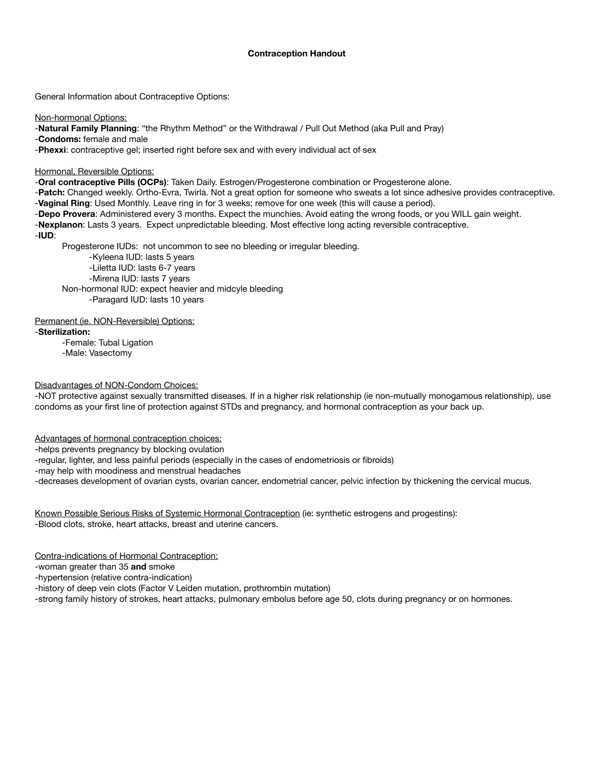# **Contraception Handout**

General Information about Contraceptive Options:

Non-hormonal Options:

-**Natural Family Planning**: "the Rhythm Method" or the Withdrawal / Pull Out Method (aka Pull and Pray)

-**Condoms:** female and male

-**Phexxi**: contraceptive gel; inserted right before sex and with every individual act of sex

Hormonal, Reversible Options:

-**Oral contraceptive Pills (OCPs)**: Taken Daily. Estrogen/Progesterone combination or Progesterone alone.

-**Patch:** Changed weekly. Ortho-Evra, Twirla. Not a great option for someone who sweats a lot since adhesive provides contraceptive. -**Vaginal Ring**: Used Monthly. Leave ring in for 3 weeks; remove for one week (this will cause a period).

-**Depo Provera**: Administered every 3 months. Expect the munchies. Avoid eating the wrong foods, or you WILL gain weight.

-**Nexplanon**: Lasts 3 years. Expect unpredictable bleeding. Most effective long acting reversible contraceptive.

-**IUD**:

Progesterone IUDs: not uncommon to see no bleeding or irregular bleeding.

 -Kyleena IUD: lasts 5 years -Liletta IUD: lasts 6-7 years -Mirena IUD: lasts 7 years Non-hormonal IUD: expect heavier and midcyle bleeding -Paragard IUD: lasts 10 years

Permanent (ie. NON-Reversible) Options:

-**Sterilization:**

-Female: Tubal Ligation -Male: Vasectomy

Disadvantages of NON-Condom Choices:

-NOT protective against sexually transmitted diseases. If in a higher risk relationship (ie non-mutually monogamous relationship), use condoms as your first line of protection against STDs and pregnancy, and hormonal contraception as your back up.

Advantages of hormonal contraception choices:

-helps prevents pregnancy by blocking ovulation

-regular, lighter, and less painful periods (especially in the cases of endometriosis or fibroids)

-may help with moodiness and menstrual headaches

-decreases development of ovarian cysts, ovarian cancer, endometrial cancer, pelvic infection by thickening the cervical mucus.

Known Possible Serious Risks of Systemic Hormonal Contraception (ie: synthetic estrogens and progestins): -Blood clots, stroke, heart attacks, breast and uterine cancers.

Contra-indications of Hormonal Contraception:

-woman greater than 35 **and** smoke

-hypertension (relative contra-indication)

-history of deep vein clots (Factor V Leiden mutation, prothrombin mutation)

-strong family history of strokes, heart attacks, pulmonary embolus before age 50, clots during pregnancy or on hormones.